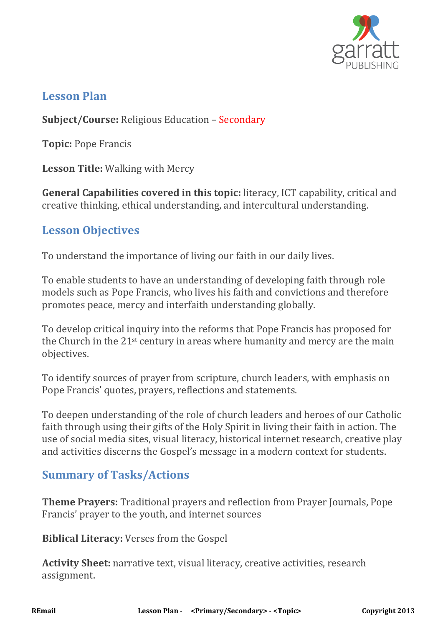

### **Lesson Plan**

**Subject/Course:** Religious Education – Secondary

**Topic:** Pope Francis

**Lesson Title:** Walking with Mercy

**General Capabilities covered in this topic:** literacy, ICT capability, critical and creative thinking, ethical understanding, and intercultural understanding.

## **Lesson Objectives**

To understand the importance of living our faith in our daily lives.

To enable students to have an understanding of developing faith through role models such as Pope Francis, who lives his faith and convictions and therefore promotes peace, mercy and interfaith understanding globally.

To develop critical inquiry into the reforms that Pope Francis has proposed for the Church in the 21st century in areas where humanity and mercy are the main objectives.

To identify sources of prayer from scripture, church leaders, with emphasis on Pope Francis' quotes, prayers, reflections and statements.

To deepen understanding of the role of church leaders and heroes of our Catholic faith through using their gifts of the Holy Spirit in living their faith in action. The use of social media sites, visual literacy, historical internet research, creative play and activities discerns the Gospel's message in a modern context for students.

# **Summary of Tasks/Actions**

**Theme Prayers:** Traditional prayers and reflection from Prayer Journals, Pope Francis' prayer to the youth, and internet sources

**Biblical Literacy:** Verses from the Gospel

**Activity Sheet:** narrative text, visual literacy, creative activities, research assignment.